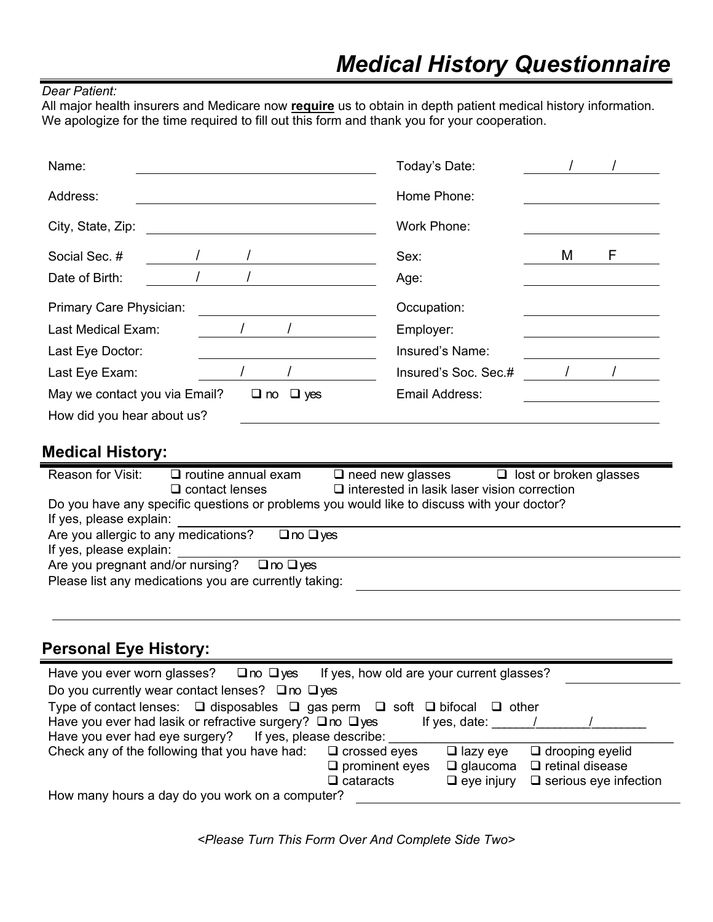#### *Dear Patient:*

All major health insurers and Medicare now **require** us to obtain in depth patient medical history information. We apologize for the time required to fill out this form and thank you for your cooperation.

| Name:                         |  |                      | Today's Date:        |   |   |
|-------------------------------|--|----------------------|----------------------|---|---|
| Address:                      |  |                      | Home Phone:          |   |   |
| City, State, Zip:             |  |                      | Work Phone:          |   |   |
| Social Sec. #                 |  |                      | Sex:                 | M | F |
| Date of Birth:                |  |                      | Age:                 |   |   |
| Primary Care Physician:       |  |                      | Occupation:          |   |   |
| Last Medical Exam:            |  |                      | Employer:            |   |   |
| Last Eye Doctor:              |  |                      | Insured's Name:      |   |   |
| Last Eye Exam:                |  |                      | Insured's Soc. Sec.# |   |   |
| May we contact you via Email? |  | $\Box$ no $\Box$ yes | Email Address:       |   |   |
| How did you hear about us?    |  |                      |                      |   |   |

## **Medical History:**

| Reason for Visit:                                            | $\Box$ routine annual exam<br>$\Box$ contact lenses                                        | $\Box$ need new glasses<br>$\square$ interested in lasik laser vision correction | $\Box$ lost or broken glasses |  |  |
|--------------------------------------------------------------|--------------------------------------------------------------------------------------------|----------------------------------------------------------------------------------|-------------------------------|--|--|
|                                                              |                                                                                            |                                                                                  |                               |  |  |
|                                                              | Do you have any specific questions or problems you would like to discuss with your doctor? |                                                                                  |                               |  |  |
| If yes, please explain:                                      |                                                                                            |                                                                                  |                               |  |  |
| Are you allergic to any medications?<br>$\Box$ no $\Box$ yes |                                                                                            |                                                                                  |                               |  |  |
| If yes, please explain:                                      |                                                                                            |                                                                                  |                               |  |  |
| Are you pregnant and/or nursing?<br>$\Box$ no $\Box$ yes     |                                                                                            |                                                                                  |                               |  |  |
| Please list any medications you are currently taking:        |                                                                                            |                                                                                  |                               |  |  |
|                                                              |                                                                                            |                                                                                  |                               |  |  |

## **Personal Eye History:**

| If yes, how old are your current glasses?<br>Have you ever worn glasses? $\Box$ no $\Box$ yes                  |                       |                             |                              |  |  |  |  |
|----------------------------------------------------------------------------------------------------------------|-----------------------|-----------------------------|------------------------------|--|--|--|--|
| Do you currently wear contact lenses? $\Box$ no $\Box$ yes                                                     |                       |                             |                              |  |  |  |  |
| Type of contact lenses: $\Box$ disposables $\Box$ gas perm $\Box$ soft $\Box$ bifocal                          |                       | $\Box$<br>other             |                              |  |  |  |  |
| Have you ever had lasik or refractive surgery? $\Box$ no $\Box$ yes                                            |                       | If yes, date: $\frac{1}{2}$ |                              |  |  |  |  |
| Have you ever had eye surgery? If yes, please describe:                                                        |                       |                             |                              |  |  |  |  |
| Check any of the following that you have had: $\Box$ crossed eyes<br>$\Box$ drooping eyelid<br>$\Box$ lazy eye |                       |                             |                              |  |  |  |  |
|                                                                                                                | $\Box$ prominent eyes | $\Box$ glaucoma             | $\Box$ retinal disease       |  |  |  |  |
|                                                                                                                | $\Box$ cataracts      | $\Box$ eye injury           | $\Box$ serious eye infection |  |  |  |  |
| How many hours a day do you work on a computer?                                                                |                       |                             |                              |  |  |  |  |

*<Please Turn This Form Over And Complete Side Two>*